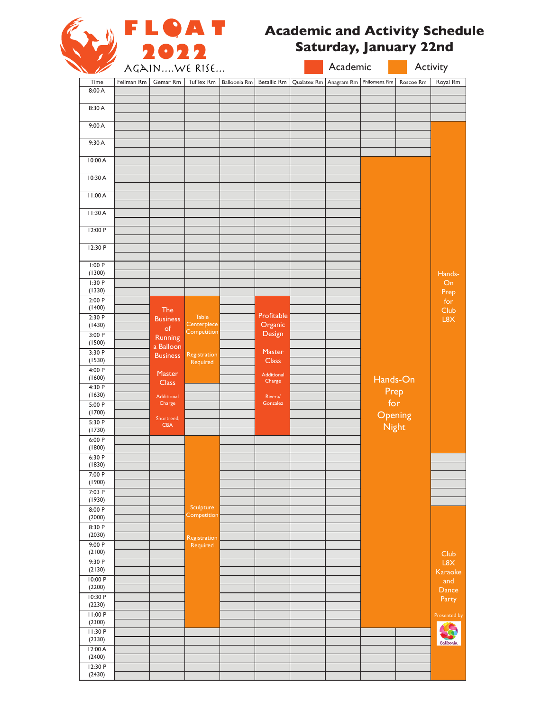

# **Academic and Activity Schedule Saturday, January 22nd**

|                   |            | AGAINWE RISE                  |                            | Academic     |                    |                          | Activity     |                  |                  |
|-------------------|------------|-------------------------------|----------------------------|--------------|--------------------|--------------------------|--------------|------------------|------------------|
| Time              | Fellman Rm | Gemar Rm                      | TufTex Rm                  | Balloonia Rm | <b>Betallic Rm</b> | Qualatex Rm   Anagram Rm | Philomena Rm | Roscoe Rm        | Royal Rm         |
| 8:00 A            |            |                               |                            |              |                    |                          |              |                  |                  |
| 8:30 A            |            |                               |                            |              |                    |                          |              |                  |                  |
|                   |            |                               |                            |              |                    |                          |              |                  |                  |
| 9:00 A            |            |                               |                            |              |                    |                          |              |                  |                  |
| 9:30 A            |            |                               |                            |              |                    |                          |              |                  |                  |
|                   |            |                               |                            |              |                    |                          |              |                  |                  |
| 10:00 A           |            |                               |                            |              |                    |                          |              |                  |                  |
| 10:30 A           |            |                               |                            |              |                    |                          |              |                  |                  |
|                   |            |                               |                            |              |                    |                          |              |                  |                  |
| 11:00A            |            |                               |                            |              |                    |                          |              |                  |                  |
| 11:30A            |            |                               |                            |              |                    |                          |              |                  |                  |
|                   |            |                               |                            |              |                    |                          |              |                  |                  |
| 12:00 P           |            |                               |                            |              |                    |                          |              |                  |                  |
| 12:30 P           |            |                               |                            |              |                    |                          |              |                  |                  |
|                   |            |                               |                            |              |                    |                          |              |                  |                  |
| I:00P<br>(1300)   |            |                               |                            |              |                    |                          |              |                  | Hands-           |
| 1:30P             |            |                               |                            |              |                    |                          |              |                  | On               |
| (1330)            |            |                               |                            |              |                    |                          |              |                  | Prep             |
| 2:00P<br>(1400)   |            |                               |                            |              |                    |                          |              |                  | for              |
| 2:30P             |            | <b>The</b><br><b>Business</b> | <b>Table</b>               |              | Profitable         |                          |              |                  | Club<br>L8X      |
| (1430)            |            | of                            | Centerpiece<br>Competition |              | Organic            |                          |              |                  |                  |
| 3:00P<br>(1500)   |            | Running                       |                            |              | Design             |                          |              |                  |                  |
| 3:30 P            |            | a Balloon<br><b>Business</b>  | Registration               |              | Master             |                          |              |                  |                  |
| (1530)            |            |                               | Required                   |              | <b>Class</b>       |                          |              |                  |                  |
| 4:00 P<br>(1600)  |            | Master                        |                            |              | Additional         |                          | Hands-On     |                  |                  |
| 4:30 P            |            | <b>Class</b>                  |                            |              | Charge             |                          |              |                  |                  |
| (1630)            |            | Additional                    |                            |              | Rivera/            |                          | Prep         | for              |                  |
| 5:00P<br>(1700)   |            | Charge                        |                            |              | Gonzalez           |                          |              |                  |                  |
| 5:30 P            |            | Shortreed,<br><b>CBA</b>      |                            |              |                    |                          |              | Opening<br>Night |                  |
| (1730)            |            |                               |                            |              |                    |                          |              |                  |                  |
| 6:00P<br>(1800)   |            |                               |                            |              |                    |                          |              |                  |                  |
| 6:30 P            |            |                               |                            |              |                    |                          |              |                  |                  |
| (1830)            |            |                               |                            |              |                    |                          |              |                  |                  |
| 7:00 P<br>(1900)  |            |                               |                            |              |                    |                          |              |                  |                  |
| 7:03 P            |            |                               |                            |              |                    |                          |              |                  |                  |
| (1930)            |            |                               | Sculpture                  |              |                    |                          |              |                  |                  |
| 8:00 P<br>(2000)  |            |                               | Competition                |              |                    |                          |              |                  |                  |
| 8:30 P            |            |                               |                            |              |                    |                          |              |                  |                  |
| (2030)<br>9:00 P  |            |                               | Registration               |              |                    |                          |              |                  |                  |
| (2100)            |            |                               | Required                   |              |                    |                          |              |                  | Club             |
| 9:30P             |            |                               |                            |              |                    |                          |              |                  | L8X              |
| (2130)            |            |                               |                            |              |                    |                          |              |                  | Karaoke          |
| 10:00 P<br>(2200) |            |                               |                            |              |                    |                          |              |                  | and<br>Dance     |
| 10:30 P           |            |                               |                            |              |                    |                          |              |                  | Party            |
| (2230)            |            |                               |                            |              |                    |                          |              |                  |                  |
| 11:00 P<br>(2300) |            |                               |                            |              |                    |                          |              |                  | Presented by     |
| 11:30 P           |            |                               |                            |              |                    |                          |              |                  |                  |
| (2330)<br>12:00 A |            |                               |                            |              |                    |                          |              |                  | <b>Balloonia</b> |
| (2400)            |            |                               |                            |              |                    |                          |              |                  |                  |
| 12:30 P           |            |                               |                            |              |                    |                          |              |                  |                  |
| (2430)            |            |                               |                            |              |                    |                          |              |                  |                  |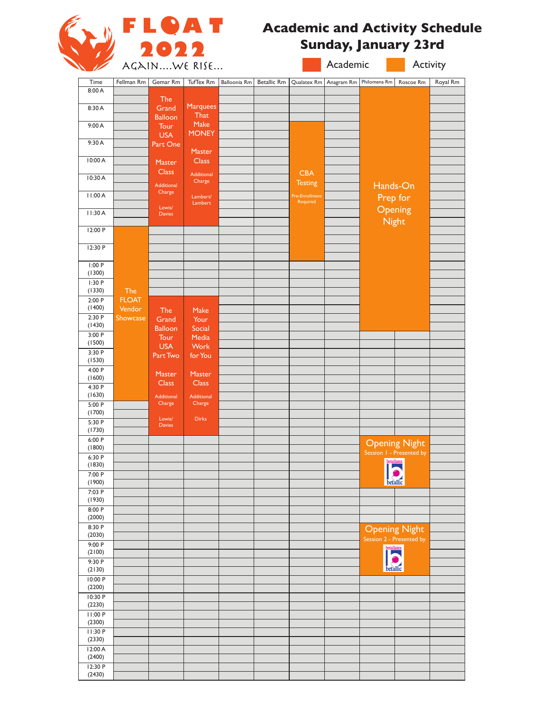

# **Academic and Activity Schedule Sunday, January 23rd**

| $\overline{\phantom{a}}$ |                    | AGAINWE RISE                |                             |                     | Academic           |                              | Activity   |              |                                                  |          |
|--------------------------|--------------------|-----------------------------|-----------------------------|---------------------|--------------------|------------------------------|------------|--------------|--------------------------------------------------|----------|
| Time                     | Fellman Rm         | Gemar Rm                    | TufTex Rm                   | <b>Balloonia Rm</b> | <b>Betallic Rm</b> | Qualatex Rm                  | Anagram Rm | Philomena Rm | Roscoe Rm                                        | Royal Rm |
| 8:00 A                   |                    | The                         |                             |                     |                    |                              |            |              |                                                  |          |
| 8:30 A                   |                    | Grand                       | <b>Marquees</b>             |                     |                    |                              |            |              |                                                  |          |
|                          |                    | <b>Balloon</b>              | That<br>Make                |                     |                    |                              |            |              |                                                  |          |
| 9:00 A                   |                    | Tour<br><b>USA</b>          | <b>MONEY</b>                |                     |                    |                              |            |              |                                                  |          |
| 9:30A                    |                    | Part One                    |                             |                     |                    |                              |            |              |                                                  |          |
| 10:00 A                  |                    |                             | Master<br><b>Class</b>      |                     |                    |                              |            |              |                                                  |          |
|                          |                    | Master<br><b>Class</b>      |                             |                     |                    |                              |            |              |                                                  |          |
| 10:30 A                  |                    | Additional                  | Additional<br>Charge        |                     |                    | <b>CBA</b><br><b>Testing</b> |            |              |                                                  |          |
| 11:00 A                  |                    | Charge                      | Lambert/                    |                     |                    | Pre-Enrollment               |            |              | Hands-On                                         |          |
|                          |                    | Lewis/                      | Lambert                     |                     |                    | Required                     |            |              | Prep for                                         |          |
| 11:30A                   |                    | <b>Davies</b>               |                             |                     |                    |                              |            |              | Opening<br><b>Night</b>                          |          |
| 12:00 P                  |                    |                             |                             |                     |                    |                              |            |              |                                                  |          |
|                          |                    |                             |                             |                     |                    |                              |            |              |                                                  |          |
| 12:30 P                  |                    |                             |                             |                     |                    |                              |            |              |                                                  |          |
| 1:00P                    |                    |                             |                             |                     |                    |                              |            |              |                                                  |          |
| (1300)<br>1:30P          |                    |                             |                             |                     |                    |                              |            |              |                                                  |          |
| (1330)                   | The                |                             |                             |                     |                    |                              |            |              |                                                  |          |
| 2:00P                    | <b>FLOAT</b>       |                             |                             |                     |                    |                              |            |              |                                                  |          |
| (1400)<br>2:30P          | Vendor<br>Showcase | The<br>Grand                | Make<br>Your                |                     |                    |                              |            |              |                                                  |          |
| (1430)                   |                    | <b>Balloon</b>              | Social                      |                     |                    |                              |            |              |                                                  |          |
| 3:00P<br>(1500)          |                    | Tour                        | Media                       |                     |                    |                              |            |              |                                                  |          |
| 3:30 P                   |                    | <b>USA</b>                  | Work                        |                     |                    |                              |            |              |                                                  |          |
| (1530)                   |                    | Part Two                    | for You                     |                     |                    |                              |            |              |                                                  |          |
| 4:00 P<br>(1600)         |                    | Master                      | Master                      |                     |                    |                              |            |              |                                                  |          |
| 4:30 P                   |                    | <b>Class</b>                | <b>Class</b>                |                     |                    |                              |            |              |                                                  |          |
| (1630)                   |                    | <b>Additional</b><br>Charge | <b>Additional</b><br>Charge |                     |                    |                              |            |              |                                                  |          |
| 5:00 P<br>(1700)         |                    |                             |                             |                     |                    |                              |            |              |                                                  |          |
| 5:30 P                   |                    | Lewis/<br><b>Davies</b>     | <b>Dirks</b>                |                     |                    |                              |            |              |                                                  |          |
| (1730)<br>6:00 P         |                    |                             |                             |                     |                    |                              |            |              |                                                  |          |
| (1800)                   |                    |                             |                             |                     |                    |                              |            |              | <b>Opening Night</b><br>Session 1 - Presented by |          |
| 6:30 P                   |                    |                             |                             |                     |                    |                              |            |              | betallatex                                       |          |
| (1830)<br>7:00 P         |                    |                             |                             |                     |                    |                              |            |              |                                                  |          |
| (1900)                   |                    |                             |                             |                     |                    |                              |            |              | betallic                                         |          |
| 7:03 P<br>(1930)         |                    |                             |                             |                     |                    |                              |            |              |                                                  |          |
| 8:00 P                   |                    |                             |                             |                     |                    |                              |            |              |                                                  |          |
| (2000)<br>8:30 P         |                    |                             |                             |                     |                    |                              |            |              |                                                  |          |
| (2030)                   |                    |                             |                             |                     |                    |                              |            |              | <b>Opening Night</b>                             |          |
| 9:00 P                   |                    |                             |                             |                     |                    |                              |            |              | Session 2 - Presented by                         |          |
| (2100)<br>9:30 P         |                    |                             |                             |                     |                    |                              |            |              | <b>betallatex</b>                                |          |
| (2130)                   |                    |                             |                             |                     |                    |                              |            |              | betallic                                         |          |
| 10:00 P                  |                    |                             |                             |                     |                    |                              |            |              |                                                  |          |
| (2200)<br>10:30 P        |                    |                             |                             |                     |                    |                              |            |              |                                                  |          |
| (2230)                   |                    |                             |                             |                     |                    |                              |            |              |                                                  |          |
| 11:00 P<br>(2300)        |                    |                             |                             |                     |                    |                              |            |              |                                                  |          |
| 11:30 P                  |                    |                             |                             |                     |                    |                              |            |              |                                                  |          |
| (2330)                   |                    |                             |                             |                     |                    |                              |            |              |                                                  |          |
| 12:00 A<br>(2400)        |                    |                             |                             |                     |                    |                              |            |              |                                                  |          |
| 12:30 P                  |                    |                             |                             |                     |                    |                              |            |              |                                                  |          |
| (2430)                   |                    |                             |                             |                     |                    |                              |            |              |                                                  |          |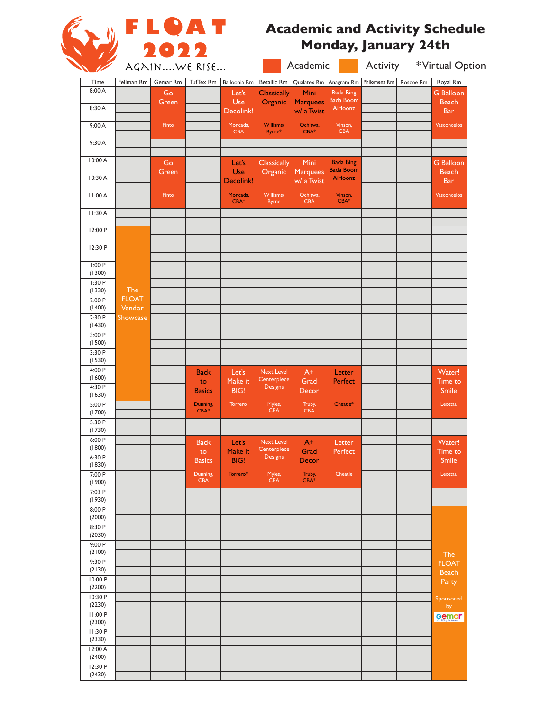

# **Academic and Activity Schedule Monday, January 24th**

|                                                                                                                                     | AGAINWE RISE           |          |                        |                        |                               | Academic                      |                              | *Virtual Option<br>Activity |           |                            |  |
|-------------------------------------------------------------------------------------------------------------------------------------|------------------------|----------|------------------------|------------------------|-------------------------------|-------------------------------|------------------------------|-----------------------------|-----------|----------------------------|--|
| Time                                                                                                                                | Fellman Rm             | Gemar Rm | TufTex Rm              | Balloonia Rm           | Betallic Rm                   | Qualatex Rm                   | Anagram Rm                   | Philomena Rm                | Roscoe Rm | Royal Rm                   |  |
| 8:00 A                                                                                                                              |                        | Go       |                        | Let's                  | <b>Classically</b>            | Mini                          | <b>Bada Bing</b>             |                             |           | <b>G</b> Balloon           |  |
| 8:30 A                                                                                                                              |                        | Green    |                        | Use                    | Organic                       | <b>Marquees</b>               | <b>Bada Boom</b><br>Airloonz |                             |           | <b>Beach</b>               |  |
|                                                                                                                                     |                        |          |                        | Decolink!              |                               | w/ a Twist                    |                              |                             |           | <b>Bar</b>                 |  |
| 9:00 A                                                                                                                              |                        | Pinto    |                        | Moncada,<br><b>CBA</b> | Williams/<br>Byrne*           | Ochitwa,<br>$CBA*$            | Vinson,<br><b>CBA</b>        |                             |           | Vasconcelos                |  |
| 9:30 A                                                                                                                              |                        |          |                        |                        |                               |                               |                              |                             |           |                            |  |
| 10:00 A                                                                                                                             |                        | Go       |                        | Let's                  | Classically                   | Mini                          | <b>Bada Bing</b>             |                             |           | <b>G</b> Balloon           |  |
| 10:30 A                                                                                                                             |                        | Green    |                        | Use<br>Decolink!       | Organic                       | <b>Marquees</b><br>w/ a Twist | <b>Bada Boom</b><br>Airloonz |                             |           | <b>Beach</b><br><b>Bar</b> |  |
| 11:00 A                                                                                                                             |                        | Pinto    |                        | Moncada,<br>$CBA*$     | Williams/<br><b>Byrne</b>     | Ochitwa,<br><b>CBA</b>        | Vinson,<br>$CBA*$            |                             |           | Vasconcelos                |  |
| 11:30A                                                                                                                              |                        |          |                        |                        |                               |                               |                              |                             |           |                            |  |
| 12:00 P                                                                                                                             |                        |          |                        |                        |                               |                               |                              |                             |           |                            |  |
| 12:30 P                                                                                                                             |                        |          |                        |                        |                               |                               |                              |                             |           |                            |  |
| 1:00P                                                                                                                               |                        |          |                        |                        |                               |                               |                              |                             |           |                            |  |
| (1300)<br>1:30P                                                                                                                     |                        |          |                        |                        |                               |                               |                              |                             |           |                            |  |
| (1330)                                                                                                                              | The                    |          |                        |                        |                               |                               |                              |                             |           |                            |  |
| 2:00P<br>(1400)                                                                                                                     | <b>FLOAT</b><br>Vendor |          |                        |                        |                               |                               |                              |                             |           |                            |  |
| 2:30P                                                                                                                               | Showcase               |          |                        |                        |                               |                               |                              |                             |           |                            |  |
| (1430)                                                                                                                              |                        |          |                        |                        |                               |                               |                              |                             |           |                            |  |
| 3:00P<br>(1500)                                                                                                                     |                        |          |                        |                        |                               |                               |                              |                             |           |                            |  |
| 3:30 P                                                                                                                              |                        |          |                        |                        |                               |                               |                              |                             |           |                            |  |
| (1530)                                                                                                                              |                        |          |                        |                        |                               |                               |                              |                             |           |                            |  |
| 4:00 P<br>(1600)                                                                                                                    |                        |          | <b>Back</b>            | Let's                  | <b>Next Level</b>             | $A+$                          | Letter                       |                             |           | Water!                     |  |
| 4:30 P                                                                                                                              |                        |          | to                     | Make it                | Centerpiece<br><b>Designs</b> | Grad                          | Perfect                      |                             |           | Time to                    |  |
| (1630)                                                                                                                              |                        |          | <b>Basics</b>          | BIG!                   |                               | Decor                         |                              |                             |           | Smile                      |  |
| 5:00 P                                                                                                                              |                        |          | Dunning,<br>$CBA*$     | Torrero                | Myles,<br><b>CBA</b>          | Truby,<br><b>CBA</b>          | Cheatle*                     |                             |           | Leottau                    |  |
| (1700)<br>5:30 P                                                                                                                    |                        |          |                        |                        |                               |                               |                              |                             |           |                            |  |
| (1730)                                                                                                                              |                        |          |                        |                        |                               |                               |                              |                             |           |                            |  |
| 6:00P                                                                                                                               |                        |          | <b>Back</b>            | Let's                  | <b>Next Level</b>             | $A+$                          | Letter                       |                             |           | Water!                     |  |
| (1800)<br>6:30 P                                                                                                                    |                        |          | to                     | Make it                | Centerpiece<br><b>Designs</b> | Grad                          | Perfect                      |                             |           | Time to                    |  |
| (1830)                                                                                                                              |                        |          | <b>Basics</b>          | BIG!                   |                               | Decor                         |                              |                             |           | Smile                      |  |
| 7:00 P                                                                                                                              |                        |          | Dunning,<br><b>CBA</b> | Torrero*               | Myles,<br><b>CBA</b>          | Truby,<br>$CBA*$              | Cheatle                      |                             |           | Leottau                    |  |
| (1900)<br>7:03 P                                                                                                                    |                        |          |                        |                        |                               |                               |                              |                             |           |                            |  |
| (1930)                                                                                                                              |                        |          |                        |                        |                               |                               |                              |                             |           |                            |  |
| 8:00 P                                                                                                                              |                        |          |                        |                        |                               |                               |                              |                             |           |                            |  |
| (2000)<br>8:30 P                                                                                                                    |                        |          |                        |                        |                               |                               |                              |                             |           |                            |  |
| (2030)                                                                                                                              |                        |          |                        |                        |                               |                               |                              |                             |           |                            |  |
| 9:00 P                                                                                                                              |                        |          |                        |                        |                               |                               |                              |                             |           |                            |  |
|                                                                                                                                     |                        |          |                        |                        |                               |                               |                              |                             |           | <b>The</b>                 |  |
|                                                                                                                                     |                        |          |                        |                        |                               |                               |                              |                             |           |                            |  |
|                                                                                                                                     |                        |          |                        |                        |                               |                               |                              |                             |           | <b>FLOAT</b>               |  |
|                                                                                                                                     |                        |          |                        |                        |                               |                               |                              |                             |           | <b>Beach</b>               |  |
|                                                                                                                                     |                        |          |                        |                        |                               |                               |                              |                             |           | Party                      |  |
|                                                                                                                                     |                        |          |                        |                        |                               |                               |                              |                             |           | Sponsored                  |  |
|                                                                                                                                     |                        |          |                        |                        |                               |                               |                              |                             |           | by                         |  |
|                                                                                                                                     |                        |          |                        |                        |                               |                               |                              |                             |           | Gemar                      |  |
|                                                                                                                                     |                        |          |                        |                        |                               |                               |                              |                             |           |                            |  |
|                                                                                                                                     |                        |          |                        |                        |                               |                               |                              |                             |           |                            |  |
| (2100)<br>9:30 P<br>(2130)<br>10:00 P<br>(2200)<br>10:30 P<br>(2230)<br>11:00 P<br>(2300)<br>11:30 P<br>(2330)<br>12:00 A<br>(2400) |                        |          |                        |                        |                               |                               |                              |                             |           |                            |  |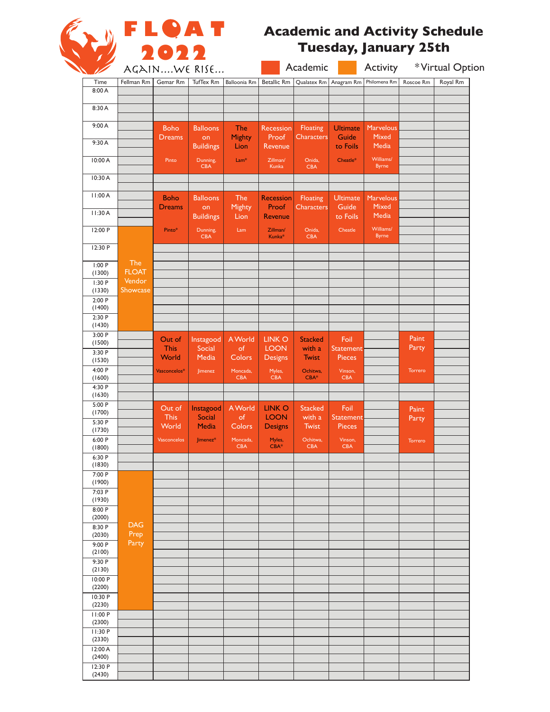

# **Academic and Activity Schedule Tuesday, January 25th**

|                   | AGAINWE RISE               |                       |                            |                        | Academic                       |                          | Activity              |                           | *Virtual Option |          |
|-------------------|----------------------------|-----------------------|----------------------------|------------------------|--------------------------------|--------------------------|-----------------------|---------------------------|-----------------|----------|
| Time              | Fellman Rm                 | Gemar Rm              | TufTex Rm                  | Balloonia Rm           | <b>Betallic Rm</b>             | Qualatex Rm              | Anagram Rm            | Philomena Rm              | Roscoe Rm       | Royal Rm |
| 8:00 A            |                            |                       |                            |                        |                                |                          |                       |                           |                 |          |
| 8:30 A            |                            |                       |                            |                        |                                |                          |                       |                           |                 |          |
| 9:00 A            |                            | <b>Boho</b>           | <b>Balloons</b>            | <b>The</b>             | Recession                      | Floating                 | <b>Ultimate</b>       | <b>Marvelous</b>          |                 |          |
| 9:30 A            |                            | <b>Dreams</b>         | on<br><b>Buildings</b>     | Mighty<br>Lion         | Proof<br>Revenue               | <b>Characters</b>        | Guide<br>to Foils     | Mixed<br>Media            |                 |          |
| 10:00 A           |                            | Pinto                 | Dunning,<br><b>CBA</b>     | $Lam*$                 | Zillman/<br>Kunka              | Onida,<br><b>CBA</b>     | Cheatle*              | Williams/<br><b>Byrne</b> |                 |          |
| 10:30 A           |                            |                       |                            |                        |                                |                          |                       |                           |                 |          |
| 11:00 A           |                            | <b>Boho</b>           | <b>Balloons</b>            | <b>The</b>             | <b>Recession</b>               | Floating                 | <b>Ultimate</b>       | Marvelous                 |                 |          |
| 11:30 A           |                            | <b>Dreams</b>         | on<br><b>Buildings</b>     | Mighty<br>Lion         | Proof<br>Revenue               | <b>Characters</b>        | Guide<br>to Foils     | Mixed<br>Media            |                 |          |
| 12:00 P           |                            | Pinto*                | Dunning,<br><b>CBA</b>     | Lam                    | Zillman/<br>Kunka <sup>*</sup> | Onida,<br><b>CBA</b>     | Cheatle               | Williams/<br><b>Byrne</b> |                 |          |
| 12:30 P           |                            |                       |                            |                        |                                |                          |                       |                           |                 |          |
| 1:00P<br>(1300)   | <b>The</b><br><b>FLOAT</b> |                       |                            |                        |                                |                          |                       |                           |                 |          |
| 1:30P             | Vendor                     |                       |                            |                        |                                |                          |                       |                           |                 |          |
| (1330)<br>2:00P   | Showcase                   |                       |                            |                        |                                |                          |                       |                           |                 |          |
| (1400)<br>2:30 P  |                            |                       |                            |                        |                                |                          |                       |                           |                 |          |
| (1430)<br>3:00P   |                            |                       |                            |                        |                                |                          |                       |                           |                 |          |
| (1500)            |                            | Out of<br><b>This</b> | Instagood<br>Social        | A World<br>of          | <b>LINK O</b><br><b>LOON</b>   | <b>Stacked</b><br>with a | Foil<br>Statement     |                           | Paint<br>Party  |          |
| 3:30 P<br>(1530)  |                            | World                 | Media                      | Colors                 | <b>Designs</b>                 | <b>Twist</b>             | <b>Pieces</b>         |                           |                 |          |
| 4:00 P<br>(1600)  |                            | Vasconcelos*          | Jimenez                    | Moncada,<br><b>CBA</b> | Myles,<br><b>CBA</b>           | Ochitwa,<br>$CBA*$       | Vinson,<br><b>CBA</b> |                           | Torrero         |          |
| 4:30 P            |                            |                       |                            |                        |                                |                          |                       |                           |                 |          |
| (1630)<br>5:00 P  |                            |                       |                            |                        |                                |                          |                       |                           |                 |          |
| (1700)            |                            | Out of<br><b>This</b> | Instagood<br><b>Social</b> | A World<br>of          | <b>LINK O</b><br><b>LOON</b>   | <b>Stacked</b><br>with a | Foil<br>Statement     |                           | Paint<br>Party  |          |
| 5:30 P<br>(1730)  |                            | World                 | <b>Media</b>               | Colors                 | <b>Designs</b>                 | Twist                    | Pieces                |                           |                 |          |
| 6:00 P<br>(1800)  |                            | <b>Vasconcelos</b>    | Jimenez*                   | Moncada,<br><b>CBA</b> | Myles,<br>$CBA*$               | Ochitwa,<br><b>CBA</b>   | Vinson,<br>CBA        |                           | Torrero         |          |
| 6:30 P            |                            |                       |                            |                        |                                |                          |                       |                           |                 |          |
| (1830)<br>7:00 P  |                            |                       |                            |                        |                                |                          |                       |                           |                 |          |
| (1900)<br>7:03 P  |                            |                       |                            |                        |                                |                          |                       |                           |                 |          |
| (1930)            |                            |                       |                            |                        |                                |                          |                       |                           |                 |          |
| 8:00 P<br>(2000)  |                            |                       |                            |                        |                                |                          |                       |                           |                 |          |
| 8:30 P            | <b>DAG</b>                 |                       |                            |                        |                                |                          |                       |                           |                 |          |
| (2030)<br>9:00 P  | Prep<br>Party              |                       |                            |                        |                                |                          |                       |                           |                 |          |
| (2100)<br>9:30P   |                            |                       |                            |                        |                                |                          |                       |                           |                 |          |
| (2130)            |                            |                       |                            |                        |                                |                          |                       |                           |                 |          |
| 10:00 P<br>(2200) |                            |                       |                            |                        |                                |                          |                       |                           |                 |          |
| 10:30 P           |                            |                       |                            |                        |                                |                          |                       |                           |                 |          |
| (2230)<br>11:00 P |                            |                       |                            |                        |                                |                          |                       |                           |                 |          |
| (2300)            |                            |                       |                            |                        |                                |                          |                       |                           |                 |          |
| 11:30 P<br>(2330) |                            |                       |                            |                        |                                |                          |                       |                           |                 |          |
| 12:00 A           |                            |                       |                            |                        |                                |                          |                       |                           |                 |          |
| (2400)<br>12:30 P |                            |                       |                            |                        |                                |                          |                       |                           |                 |          |
| (2430)            |                            |                       |                            |                        |                                |                          |                       |                           |                 |          |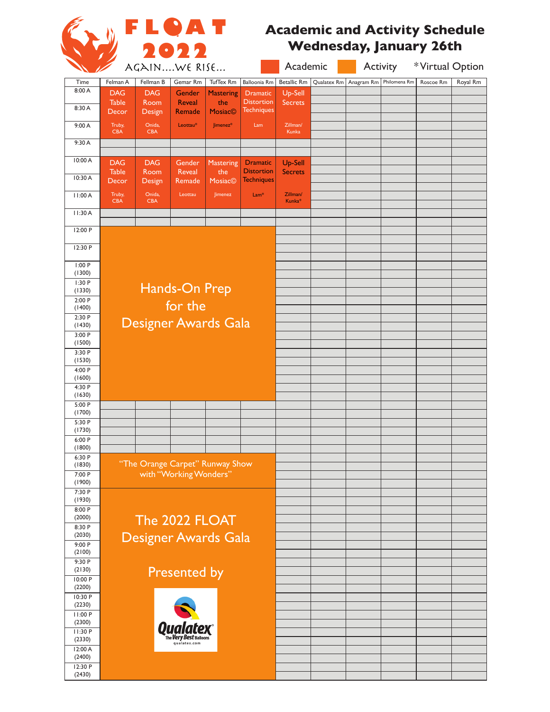